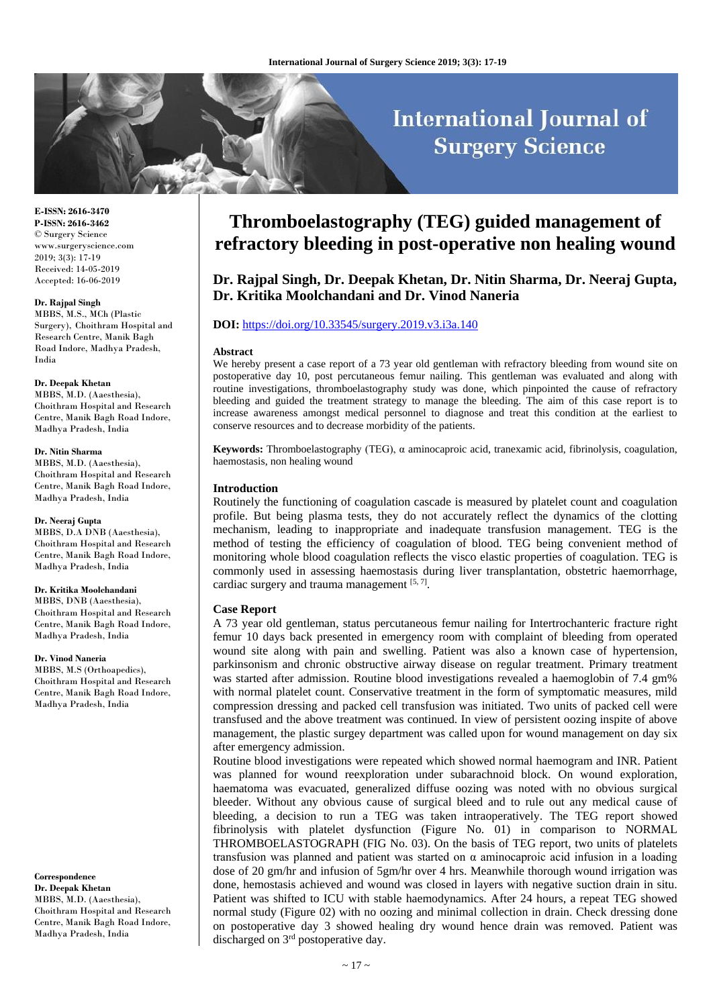# **International Journal of Surgery Science**

**E-ISSN: 2616-3470 P-ISSN: 2616-3462** © Surgery Science www.surgeryscience.com 2019; 3(3): 17-19 Received: 14-05-2019 Accepted: 16-06-2019

### **Dr. Rajpal Singh**

MBBS, M.S., MCh (Plastic Surgery), Choithram Hospital and Research Centre, Manik Bagh Road Indore, Madhya Pradesh, India

### **Dr. Deepak Khetan**

MBBS, M.D. (Aaesthesia), Choithram Hospital and Research Centre, Manik Bagh Road Indore, Madhya Pradesh, India

#### **Dr. Nitin Sharma**

MBBS, M.D. (Aaesthesia), Choithram Hospital and Research Centre, Manik Bagh Road Indore, Madhya Pradesh, India

### **Dr. Neeraj Gupta**

MBBS, D.A DNB (Aaesthesia), Choithram Hospital and Research Centre, Manik Bagh Road Indore, Madhya Pradesh, India

### **Dr. Kritika Moolchandani**

MBBS, DNB (Aaesthesia), Choithram Hospital and Research Centre, Manik Bagh Road Indore, Madhya Pradesh, India

### **Dr. Vinod Naneria**

MBBS, M.S (Orthoapedics), Choithram Hospital and Research Centre, Manik Bagh Road Indore, Madhya Pradesh, India

## **Correspondence Dr. Deepak Khetan** MBBS, M.D. (Aaesthesia),

Choithram Hospital and Research Centre, Manik Bagh Road Indore, Madhya Pradesh, India

# **Thromboelastography (TEG) guided management of refractory bleeding in post-operative non healing wound**

**Dr. Rajpal Singh, Dr. Deepak Khetan, Dr. Nitin Sharma, Dr. Neeraj Gupta, Dr. Kritika Moolchandani and Dr. Vinod Naneria**

# **DOI:** <https://doi.org/10.33545/surgery.2019.v3.i3a.140>

### **Abstract**

We hereby present a case report of a 73 year old gentleman with refractory bleeding from wound site on postoperative day 10, post percutaneous femur nailing. This gentleman was evaluated and along with routine investigations, thromboelastography study was done, which pinpointed the cause of refractory bleeding and guided the treatment strategy to manage the bleeding. The aim of this case report is to increase awareness amongst medical personnel to diagnose and treat this condition at the earliest to conserve resources and to decrease morbidity of the patients.

**Keywords:** Thromboelastography (TEG), α aminocaproic acid, tranexamic acid, fibrinolysis, coagulation, haemostasis, non healing wound

### **Introduction**

Routinely the functioning of coagulation cascade is measured by platelet count and coagulation profile. But being plasma tests, they do not accurately reflect the dynamics of the clotting mechanism, leading to inappropriate and inadequate transfusion management. TEG is the method of testing the efficiency of coagulation of blood. TEG being convenient method of monitoring whole blood coagulation reflects the visco elastic properties of coagulation. TEG is commonly used in assessing haemostasis during liver transplantation, obstetric haemorrhage, cardiac surgery and trauma management [5,7].

### **Case Report**

A 73 year old gentleman, status percutaneous femur nailing for Intertrochanteric fracture right femur 10 days back presented in emergency room with complaint of bleeding from operated wound site along with pain and swelling. Patient was also a known case of hypertension, parkinsonism and chronic obstructive airway disease on regular treatment. Primary treatment was started after admission. Routine blood investigations revealed a haemoglobin of 7.4 gm% with normal platelet count. Conservative treatment in the form of symptomatic measures, mild compression dressing and packed cell transfusion was initiated. Two units of packed cell were transfused and the above treatment was continued. In view of persistent oozing inspite of above management, the plastic surgey department was called upon for wound management on day six after emergency admission.

Routine blood investigations were repeated which showed normal haemogram and INR. Patient was planned for wound reexploration under subarachnoid block. On wound exploration, haematoma was evacuated, generalized diffuse oozing was noted with no obvious surgical bleeder. Without any obvious cause of surgical bleed and to rule out any medical cause of bleeding, a decision to run a TEG was taken intraoperatively. The TEG report showed fibrinolysis with platelet dysfunction (Figure No. 01) in comparison to NORMAL THROMBOELASTOGRAPH (FIG No. 03). On the basis of TEG report, two units of platelets transfusion was planned and patient was started on α aminocaproic acid infusion in a loading dose of 20 gm/hr and infusion of 5gm/hr over 4 hrs. Meanwhile thorough wound irrigation was done, hemostasis achieved and wound was closed in layers with negative suction drain in situ. Patient was shifted to ICU with stable haemodynamics. After 24 hours, a repeat TEG showed normal study (Figure 02) with no oozing and minimal collection in drain. Check dressing done on postoperative day 3 showed healing dry wound hence drain was removed. Patient was discharged on 3rd postoperative day.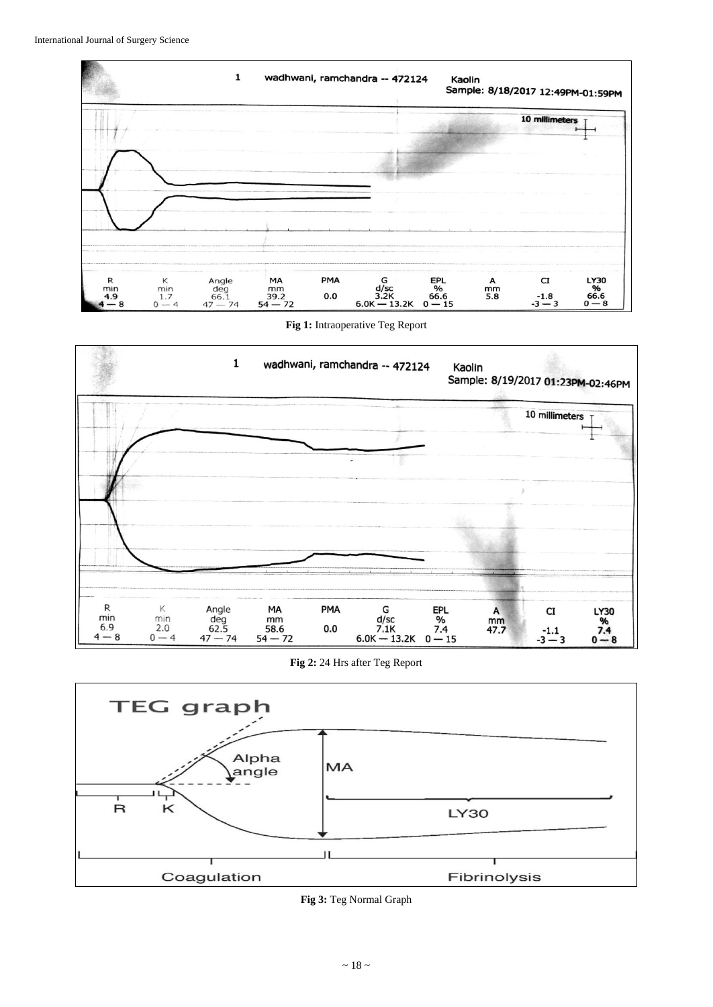

**Fig 1:** Intraoperative Teg Report



**Fig 2:** 24 Hrs after Teg Report



**Fig 3:** Teg Normal Graph